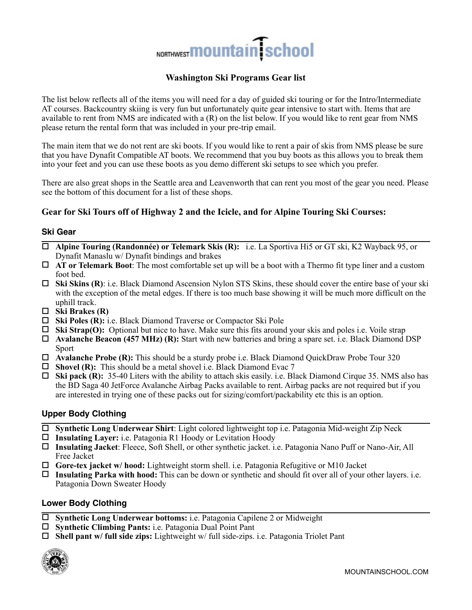# NORTHWEST **MOUNTAIN** School

# **Washington Ski Programs Gear list**

The list below reflects all of the items you will need for a day of guided ski touring or for the Intro/Intermediate AT courses. Backcountry skiing is very fun but unfortunately quite gear intensive to start with. Items that are available to rent from NMS are indicated with a (R) on the list below. If you would like to rent gear from NMS please return the rental form that was included in your pre-trip email.

The main item that we do not rent are ski boots. If you would like to rent a pair of skis from NMS please be sure that you have Dynafit Compatible AT boots. We recommend that you buy boots as this allows you to break them into your feet and you can use these boots as you demo different ski setups to see which you prefer.

There are also great shops in the Seattle area and Leavenworth that can rent you most of the gear you need. Please see the bottom of this document for a list of these shops.

# **Gear for Ski Tours off of Highway 2 and the Icicle, and for Alpine Touring Ski Courses:**

### **Ski Gear**

- ! **Alpine Touring (Randonnée) or Telemark Skis (R):** i.e. La Sportiva Hi5 or GT ski, K2 Wayback 95, or Dynafit Manaslu w/ Dynafit bindings and brakes
- ! **AT or Telemark Boot**: The most comfortable set up will be a boot with a Thermo fit type liner and a custom foot bed.
- ! **Ski Skins (R)**: i.e. Black Diamond Ascension Nylon STS Skins, these should cover the entire base of your ski with the exception of the metal edges. If there is too much base showing it will be much more difficult on the uphill track.
- ! **Ski Brakes (R)**
- ! **Ski Poles (R):** i.e. Black Diamond Traverse or Compactor Ski Pole
- ! **Ski Strap(O):** Optional but nice to have. Make sure this fits around your skis and poles i.e. Voile strap
- ! **Avalanche Beacon (457 MHz) (R):** Start with new batteries and bring a spare set. i.e. Black Diamond DSP Sport
- ! **Avalanche Probe (R):** This should be a sturdy probe i.e. Black Diamond QuickDraw Probe Tour 320
- □ **Shovel (R):** This should be a metal shovel i.e. Black Diamond Evac 7
- ! **Ski pack (R):** 35-40 Liters with the ability to attach skis easily. i.e. Black Diamond Cirque 35. NMS also has the BD Saga 40 JetForce Avalanche Airbag Packs available to rent. Airbag packs are not required but if you are interested in trying one of these packs out for sizing/comfort/packability etc this is an option.

# **Upper Body Clothing**

- ! **Synthetic Long Underwear Shirt**: Light colored lightweight top i.e. Patagonia Mid-weight Zip Neck
- ! **Insulating Layer:** i.e. Patagonia R1 Hoody or Levitation Hoody
- ! **Insulating Jacket**: Fleece, Soft Shell, or other synthetic jacket. i.e. Patagonia Nano Puff or Nano-Air, All Free Jacket
- ! **Gore-tex jacket w/ hood:** Lightweight storm shell. i.e. Patagonia Refugitive or M10 Jacket
- ! **Insulating Parka with hood:** This can be down or synthetic and should fit over all of your other layers. i.e. Patagonia Down Sweater Hoody

# **Lower Body Clothing**

- ! **Synthetic Long Underwear bottoms:** i.e. Patagonia Capilene 2 or Midweight
- ! **Synthetic Climbing Pants:** i.e. Patagonia Dual Point Pant
- ! **Shell pant w/ full side zips:** Lightweight w/ full side-zips. i.e. Patagonia Triolet Pant